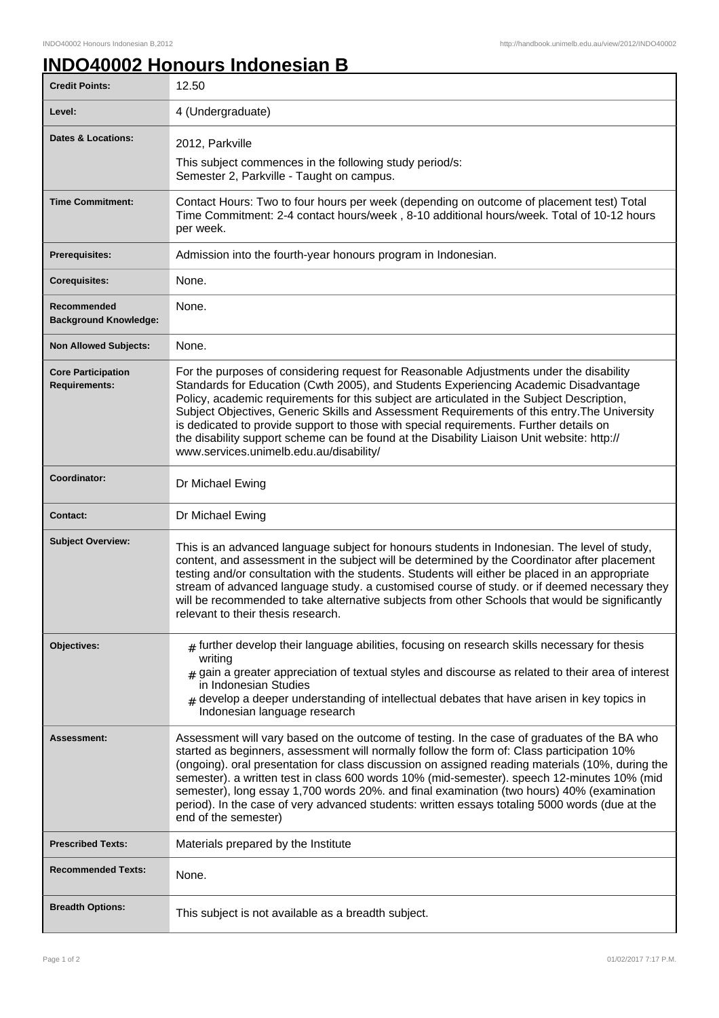## **INDO40002 Honours Indonesian B**

| <b>Credit Points:</b>                             | 12.50                                                                                                                                                                                                                                                                                                                                                                                                                                                                                                                                                                                                                |
|---------------------------------------------------|----------------------------------------------------------------------------------------------------------------------------------------------------------------------------------------------------------------------------------------------------------------------------------------------------------------------------------------------------------------------------------------------------------------------------------------------------------------------------------------------------------------------------------------------------------------------------------------------------------------------|
| Level:                                            | 4 (Undergraduate)                                                                                                                                                                                                                                                                                                                                                                                                                                                                                                                                                                                                    |
| <b>Dates &amp; Locations:</b>                     | 2012, Parkville                                                                                                                                                                                                                                                                                                                                                                                                                                                                                                                                                                                                      |
|                                                   | This subject commences in the following study period/s:<br>Semester 2, Parkville - Taught on campus.                                                                                                                                                                                                                                                                                                                                                                                                                                                                                                                 |
| <b>Time Commitment:</b>                           | Contact Hours: Two to four hours per week (depending on outcome of placement test) Total<br>Time Commitment: 2-4 contact hours/week, 8-10 additional hours/week. Total of 10-12 hours<br>per week.                                                                                                                                                                                                                                                                                                                                                                                                                   |
| <b>Prerequisites:</b>                             | Admission into the fourth-year honours program in Indonesian.                                                                                                                                                                                                                                                                                                                                                                                                                                                                                                                                                        |
| <b>Corequisites:</b>                              | None.                                                                                                                                                                                                                                                                                                                                                                                                                                                                                                                                                                                                                |
| Recommended<br><b>Background Knowledge:</b>       | None.                                                                                                                                                                                                                                                                                                                                                                                                                                                                                                                                                                                                                |
| <b>Non Allowed Subjects:</b>                      | None.                                                                                                                                                                                                                                                                                                                                                                                                                                                                                                                                                                                                                |
| <b>Core Participation</b><br><b>Requirements:</b> | For the purposes of considering request for Reasonable Adjustments under the disability<br>Standards for Education (Cwth 2005), and Students Experiencing Academic Disadvantage<br>Policy, academic requirements for this subject are articulated in the Subject Description,<br>Subject Objectives, Generic Skills and Assessment Requirements of this entry. The University<br>is dedicated to provide support to those with special requirements. Further details on<br>the disability support scheme can be found at the Disability Liaison Unit website: http://<br>www.services.unimelb.edu.au/disability/     |
| Coordinator:                                      | Dr Michael Ewing                                                                                                                                                                                                                                                                                                                                                                                                                                                                                                                                                                                                     |
| <b>Contact:</b>                                   | Dr Michael Ewing                                                                                                                                                                                                                                                                                                                                                                                                                                                                                                                                                                                                     |
| <b>Subject Overview:</b>                          | This is an advanced language subject for honours students in Indonesian. The level of study,<br>content, and assessment in the subject will be determined by the Coordinator after placement<br>testing and/or consultation with the students. Students will either be placed in an appropriate<br>stream of advanced language study. a customised course of study. or if deemed necessary they<br>will be recommended to take alternative subjects from other Schools that would be significantly<br>relevant to their thesis research.                                                                             |
| Objectives:                                       | $#$ further develop their language abilities, focusing on research skills necessary for thesis<br>writing<br>$#$ gain a greater appreciation of textual styles and discourse as related to their area of interest<br>in Indonesian Studies<br>develop a deeper understanding of intellectual debates that have arisen in key topics in<br>#<br>Indonesian language research                                                                                                                                                                                                                                          |
| Assessment:                                       | Assessment will vary based on the outcome of testing. In the case of graduates of the BA who<br>started as beginners, assessment will normally follow the form of: Class participation 10%<br>(ongoing). oral presentation for class discussion on assigned reading materials (10%, during the<br>semester). a written test in class 600 words 10% (mid-semester). speech 12-minutes 10% (mid<br>semester), long essay 1,700 words 20%. and final examination (two hours) 40% (examination<br>period). In the case of very advanced students: written essays totaling 5000 words (due at the<br>end of the semester) |
| <b>Prescribed Texts:</b>                          | Materials prepared by the Institute                                                                                                                                                                                                                                                                                                                                                                                                                                                                                                                                                                                  |
| <b>Recommended Texts:</b>                         | None.                                                                                                                                                                                                                                                                                                                                                                                                                                                                                                                                                                                                                |
| <b>Breadth Options:</b>                           | This subject is not available as a breadth subject.                                                                                                                                                                                                                                                                                                                                                                                                                                                                                                                                                                  |